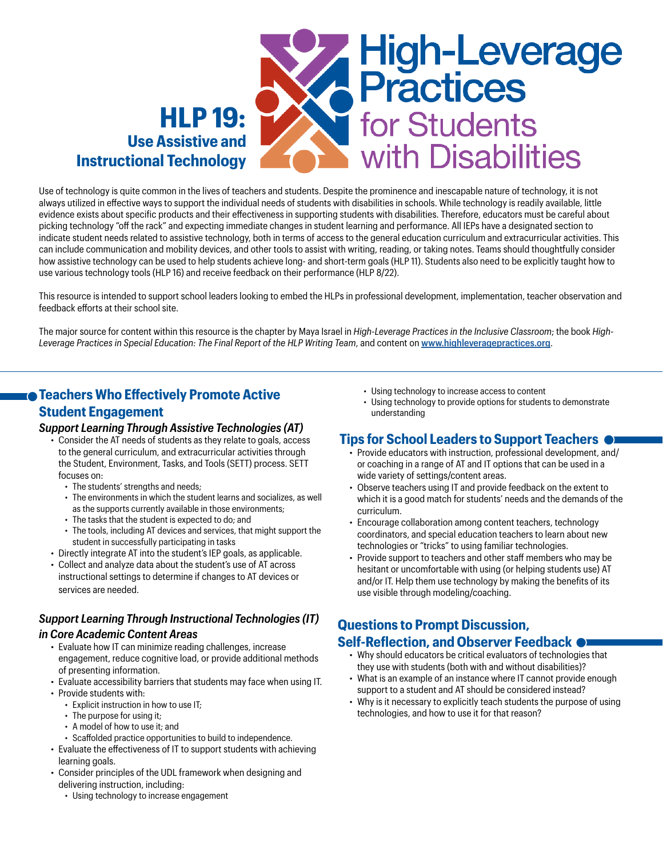

Use of technology is quite common in the lives of teachers and students. Despite the prominence and inescapable nature of technology, it is not always utilized in effective ways to support the individual needs of students with disabilities in schools. While technology is readily available, little evidence exists about specific products and their effectiveness in supporting students with disabilities. Therefore, educators must be careful about picking technology "off the rack" and expecting immediate changes in student learning and performance. All IEPs have a designated section to indicate student needs related to assistive technology, both in terms of access to the general education curriculum and extracurricular activities. This can include communication and mobility devices, and other tools to assist with writing, reading, or taking notes. Teams should thoughtfully consider how assistive technology can be used to help students achieve long- and short-term goals (HLP 11). Students also need to be explicitly taught how to use various technology tools (HLP 16) and receive feedback on their performance (HLP 8/22).

This resource is intended to support school leaders looking to embed the HLPs in professional development, implementation, teacher observation and feedback efforts at their school site.

The major source for content within this resource is the chapter by Maya Israel in *High-Leverage Practices in the Inclusive Classroom*; the book *High-Leverage Practices in Special Education: The Final Report of the HLP Writing Team*, and content on **[www.highleveragepractices.org](http://www.highleveragepractices.org)**.

## **Teachers Who Effectively Promote Active Student Engagement**

#### *Support Learning Through Assistive Technologies (AT)*

- Consider the AT needs of students as they relate to goals, access to the general curriculum, and extracurricular activities through the Student, Environment, Tasks, and Tools (SETT) process. SETT focuses on:
	- The students' strengths and needs;
	- The environments in which the student learns and socializes, as well as the supports currently available in those environments;
	- The tasks that the student is expected to do; and
	- The tools, including AT devices and services, that might support the student in successfully participating in tasks
- Directly integrate AT into the student's IEP goals, as applicable.
- Collect and analyze data about the student's use of AT across instructional settings to determine if changes to AT devices or services are needed.

# *Support Learning Through Instructional Technologies (IT)*

#### *in Core Academic Content Areas*

- Evaluate how IT can minimize reading challenges, increase engagement, reduce cognitive load, or provide additional methods of presenting information.
- Evaluate accessibility barriers that students may face when using IT.
- Provide students with:
	- Explicit instruction in how to use IT;
	- The purpose for using it;
	- A model of how to use it; and
	- Scaffolded practice opportunities to build to independence.
- Evaluate the effectiveness of IT to support students with achieving learning goals.
- Consider principles of the UDL framework when designing and delivering instruction, including:
	- Using technology to increase engagement
- Using technology to increase access to content
- Using technology to provide options for students to demonstrate understanding

### **Tips for School Leaders to Support Teachers**

- Provide educators with instruction, professional development, and/ or coaching in a range of AT and IT options that can be used in a wide variety of settings/content areas.
- Observe teachers using IT and provide feedback on the extent to which it is a good match for students' needs and the demands of the curriculum.
- Encourage collaboration among content teachers, technology coordinators, and special education teachers to learn about new technologies or "tricks" to using familiar technologies.
- Provide support to teachers and other staff members who may be hesitant or uncomfortable with using (or helping students use) AT and/or IT. Help them use technology by making the benefits of its use visible through modeling/coaching.

# **Questions to Prompt Discussion,**

#### **Self-Reflection, and Observer Feedback**

- Why should educators be critical evaluators of technologies that they use with students (both with and without disabilities)?
- What is an example of an instance where IT cannot provide enough support to a student and AT should be considered instead?
- Why is it necessary to explicitly teach students the purpose of using technologies, and how to use it for that reason?